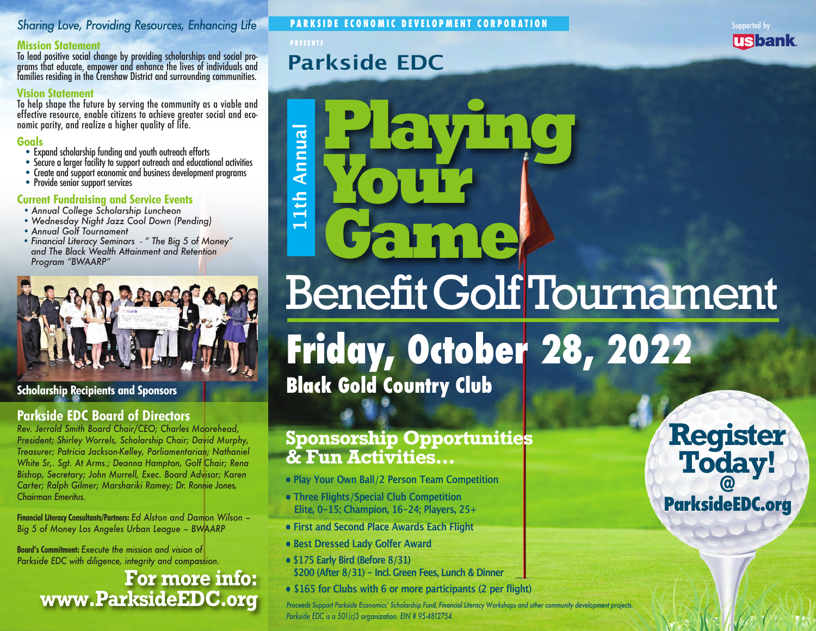## *Sharing Love, Providing Resources, Enhancing Life*

**Mission Statement**<br>To lead positive social change by providing scholarships and social programs that educate, empower and enhance the lives of individuals and families residing in the Crenshaw District and surrounding communities.

### **Vision Statement**

To help shape the future by serving the community as a viable and effective resource, enable citizens to achieve greater social and eco- nomic parity, and realize a higher quality of life.

- **Goals**<br>• Expand scholarship funding and youth outreach efforts
	-
- Secure a larger facility to support outreach and educational activities<br>• Create and support economic and business development programs<br>• Provide senior support services
- 

### **Current Fundraising and Service Events**

- *Annual College Scholarship Luncheon*
- *Wednesday Night Jazz Cool Down (Pending)*
- *Annual Golf Tournament*
- *Financial Literacy Seminars " The Big 5 of Money" and The Black Wealth Attainment and Retention Program "BWAARP"*



**Scholarship Recipients and Sponsors**

## **Parkside EDC Board of Directors**

*Rev. Jerrold Smith Board Chair/CEO; Charles Moorehead, President; Shirley Worrels, Scholarship Chair; David Murphy, Treasurer; Patricia Jackson-Kelley, Parliamentarian; Nathaniel White Sr,. Sgt. At Arms.; Deanna Hampton, Golf Chair; Rena Bishop, Secretary; John Murrell, Exec. Board Advisor; Karen Carter; Ralph Gilmer; Marshariki Ramey; Dr. Ronnie Jones, Chairman Emeritus.* 

**Financial Literacy Consultants/Partners:** *Ed Alston and Damon Wilson – Big 5 of Money Los Angeles Urban League – BWAARP*

**Board's Commitment:** *Execute the mission and vision of Parkside EDC with diligence, integrity and compassion.*

# **For more info: www.ParksideEDC.org**

**PARKSIDE ECONOMIC DEVELOPMENT CORPORATION**

### **PRESENTS**

# **Parkside EDC**



# **Playing** Annual **11th Annual Your** 1th  $\overline{\phantom{0}}$ **Game** BenefitGolf Tournament **Friday, October 28, 2022**

**Black Gold Country Club**

## **Sponsorship Opportunities & Fun Activities...**

- **Play Your Own Ball/2 Person Team Competition**
- **Three Flights/Special Club Competition Elite, 0-15; Champion, 16-24; Players, 25+**
- **First and Second Place Awards Each Flight**
- **Best Dressed Lady Golfer Award**
- **\$175 Early Bird (Before 8/31) \$200 (After 8/31) - Incl. Green Fees, Lunch & Dinner**
- **\$165 for Clubs with 6 or more participants (2 per flight)**

Proceeds Support Parkside Economics' Scholarship Fund, Financial Literacy Workshops and other community development projects. *Parkside EDC is a 501(c)3 organization. EIN # 95-4812754.*